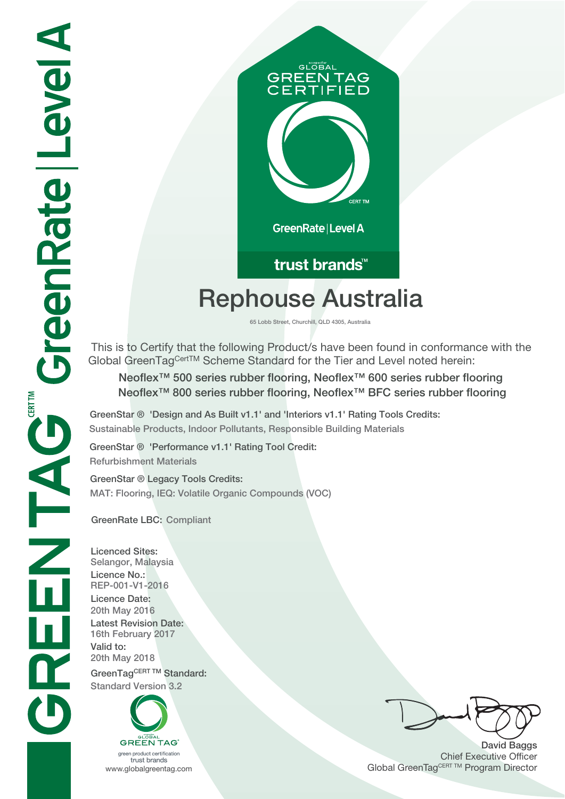

## trust brands<sup>™</sup>

# **Rephouse Australia**

**65 Lobb Street, Churchill, QLD 4305, Australia**

 This is to Certify that the following Product/s have been found in conformance with the Global GreenTagCertTM Scheme Standard for the Tier and Level noted herein:

**Neoflex™ 500 series rubber flooring, Neoflex™ 600 series rubber flooring Neoflex™ 800 series rubber flooring, Neoflex™ BFC series rubber flooring**

**GreenStar ® 'Design and As Built v1.1' and 'Interiors v1.1' Rating Tools Credits: Sustainable Products, Indoor Pollutants, Responsible Building Materials**

**GreenStar ® 'Performance v1.1' Rating Tool Credit: Refurbishment Materials**

**GreenStar ® Legacy Tools Credits: MAT: Flooring, IEQ: Volatile Organic Compounds (VOC)**

**GreenRate LBC: Compliant**

**Licenced Sites: Selangor, Malaysia Licence No.: REP-001-V1-2016 Licence Date: 20th May 2016 Latest Revision Date: 16th February 2017 Valid to: 20th May 2018** GreenTagCERT TM Standard: **Standard Version 3.2**



trust brands

**David Baggs** Chief Executive Officer WWW.globalgreentag.com **Program Director** Global GreenTagCERT TM Program Director